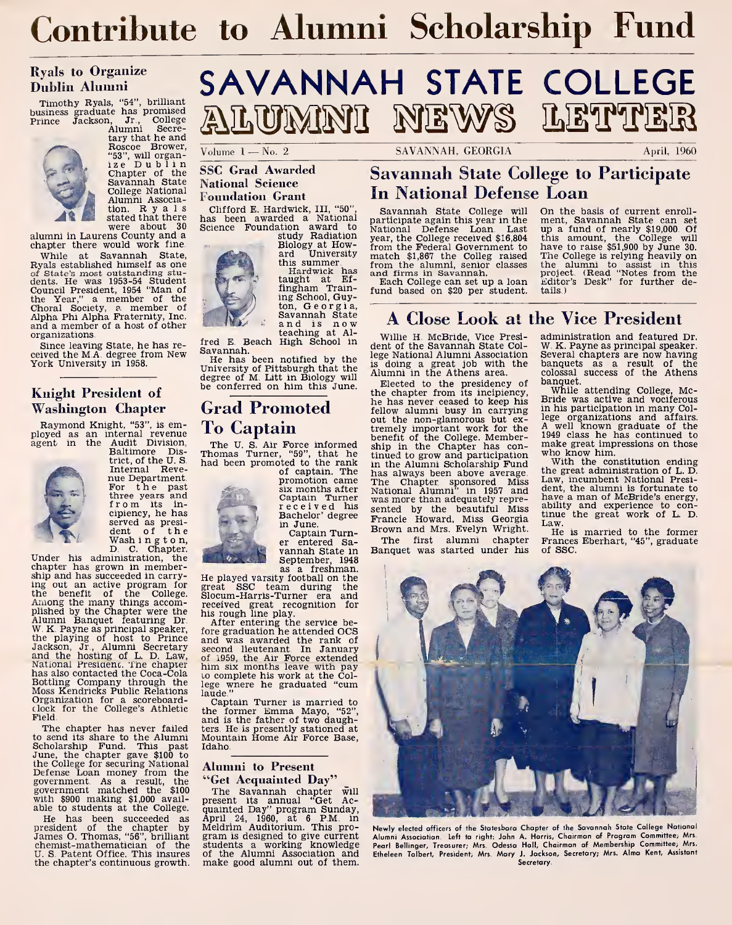## Contribute to Alumni Scholarship Fund

#### Ryals to Organize Dublin Alumni

Timothy Ryals, "54", brilliant<br>business graduate has promised<br>Prince Jackson, Jr., College<br>Alumni Secre-



tary that he and Roscoe Brower,<br>"53", will organ-<br>ize Dublin Chapter of the Savannah State Alumni Associa-Alumni Associa-<br>tion. R y a 1 s Clif!<br>stated that there has

alumni in Laurens County and a chapter there would work fine.

While at Savannah State, Ryals established himself as one of State's most outstanding stu-<br>dents. He was 1953-54 Student<br>Council President, 1954 "Man of<br>the Year," a member of the<br>Choral Society, p. member of<br>and a member of a host of other organizations.

Since leaving State, he has re-<br>sixed the M A degree from New Savannah. ceived the M.A. degree from New York University in 1958.

#### Knight President of Washington Chapter

agent Raymond Knight, "53", is em-ployed as an internal revenue the Audit Division, Baltimore Dis-

trict, of the U.S. Internal Reve- nue Department. For the past

three years and<br>from its in-<br>cipiency, he has<br>served as presi-<br>dent of the<br>Wash ing ton,



Under his administration, the chapter has grown in membership and has succeeded in carrying out an active program for  $\frac{1}{5}$ <br>the benefit of the College.  $\frac{1}{5}$ <br>Among the many things accomplished by the Chapter were the Alumni Banquet featuring Dr. W. K. Payne as principal speaker, the playing of host to Prince and the hosting of L. D. Law, of and the hosting of L. D. Law, of has also contacted the Coca-Cola<br>Bottling Company through the Moss Kendricks Public Relations Organization for a scoreboardclock for the College's Athletic Field.

The chapter has never failed to send its share to the Alumni Mo<br>Scholarship Fund. This past Id:<br>June, the chapter gave \$100 to the College for securing National Defense Loan money from the government. As a result, the government matched the \$100 with \$900 making \$1,000 avail- able to students at the College.  $\alpha$ 

He has been succeeded as Appresident of the chapter by M<br>James O. Thomas, "56", brilliant gr<br>chemist-mathematician of the st U. S. Patent Office. This insures of the Alumni Association and the chapter's continuous growth. make good alumni out of them. the chapter's continuous growth.

# SAVANNAH STATE COLLEGE ALUMNI NEWS LETTER

#### SSC Grad Awarded National Science Foundation Grant

were about 30 Science Clifford E. Hardwick, III, "50", has been awarded a National Science Foundation award to  $\frac{K}{Ng}$  study Radiation  $\frac{K}{Vg}$ 



Biology at How-ard University this summer.

Hardwick has<br>taught at Ef-<br>fingham Training School, Guyton, Georgia, and is now

teaching at Al-<br>fred E. Beach High School in

fred E. Beach High School in<br>Savannah.<br>He has been notified by the <sup>le</sup><br>University of Pittsburgh that the is<br>degree of M. Litt in Biology will all<br>be conferred on him this June.

## To Captain

of captain. The promotion came six months after Captain Turner received his

\* Bachelor' degree Fr in June. er entered Sa-<br>vannah State in September, 1948<br>as a freshman.

He played varsity football on the great SSC team during the Slocum-Harris-Turner era and received great recognition for his rough line play.

After entering the service be-<br>fore graduation he attended OCS<br>and was awarded the rank of<br>second lieutenant. In January<br>of 1959, the Air Force extended<br>him six months leave with pay to complete his work at the College wnere he graduated "cum laude."

Captain Turner is married to<br>the former Emma Mayo, "52",<br>and is the father of two daughters. He is presently stationed at Mountain Home Air Force Base, Idaho.

#### Alumni to Present "Get Acquainted Day"

The Savannah chapter will<br>present its annual "Get Ac-<br>quainted Day" program Sunday,<br>April 24, 1960, at 6 P.M. in<br>Meldrim Auditorium. This pro-<br>gram is designed to give current Al. students a working knowledge of the Alumni Association and make good alumni out of them.

 $\overline{V}$ olume  $1 - No. 2$  SAVANNAH. GEORGIA

## Savannah State College to Participate In National Defense Loan

Savannah State College will participate again thìs year ìn the 9 m<br>National Defense Loan. Last up match \$1,867 the Colleg raised<br>from the alumni, senior classes<br>and firms in Savannah.<br>Each College can set up a loan<br>fund based on \$20 per student.

On the basis of current enroll-<br>ment, Savannah State can set<br>upp a fund of nearly \$19,000 Of<br>this amount, the College will<br>have to raise \$51,900 by June 30.<br>The College is relying heavily on<br>the alumni to assist in this<br>pr tails.)

### A Close Look at the Vice President

Willie H. McBride, Vice Presi- dent of the Savannah State College National Alumni Association is doing <sup>a</sup> great job with the Alumni in the Athens area.

**Grad Promoted** he has never ceased to keep his The U. S. Air Force informed  $\frac{1}{2}$  that he chapter has con-<br>Thomas Turner, "59", that he tinued to grow and participation<br>had been promoted to the rank in the Alumni Scholarship Fund<br>of captain. The has always been ab Elected to the presidency of  $\frac{D}{D}$ <br>the chapter from its incipiency, he has never ceased to keep his fellow alumni busy in carrying out the non-glamorous but ex- tremely important work for the benefit of the College. Member-ship in the Chapter has continued to grow and participation where the Alumni Scholarship Fund ship in the Chapter has continued to grow and participation with the Alumni Scholarship Fund<br>has always been above average. the Chapter sponsored Miss  $\frac{L_2}{L_1}$ The Chapter sponsored Miss Law, incumbent National Presi-<br>National Alumni" in 1957 and dent, the alumni is fortunate to was more than adequately repre sented by the beautiful Miss ability and experience to con-<br>Francis Howard Miss Coordie tinue the great work of L. D. Francie Howard, Miss Georgia Linus Brown and Mrs. Evelyn Wright.

The first alumni chapter Banquet was started under his administration and featured Dr. W. K. Payne as principal speaker. Several chapters are now having banquets as a result of the colossal success of the Athens banquet.

While attending College, Mc-Bride was active and vociferous in his participation in many College organizations and affairs.<br>A well known graduate of the<br>1949 class he has continued to 1949 class he has continued to make great impressions on those who know him.<br>With the constitution ending<br>the great administration of L. D.<br>Law, incumbent National Presi-

dent, the alumni is fortunate to have <sup>a</sup> man of McBride's energy, ability and experience to con-

tinue the great work of L. D.<br>Law.<br>He is married to the former<br>Frances Eberhart, "45", graduate of SSC.



Newly elected officers of the Statesboro Chapter of the Savannah State College National Alumni Association. Left to right: John A. Harris, Chairman of Program Committee; Mrs. Pearl Bellinger, Treasurer; Mrs. Odessa Hall, Chairman of Membership Committee; Mrs. Etheleen Talbert, President; Mrs. Mary J. Jackson, Secretary; Mrs. Alma Kent, Assistant **Secretary**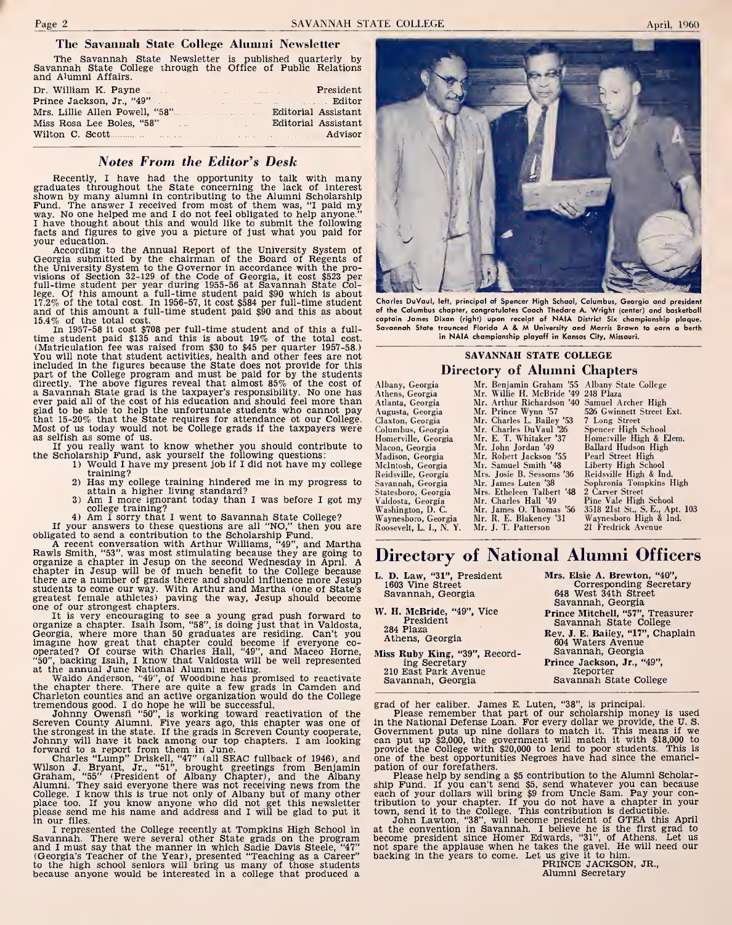#### The Savannah State College Alumni Newsletter

The Savannah State Newsletter is published quarterly by Savannah State College through the Office of Public Relations and Alumni Affairs.

|                           | President           |
|---------------------------|---------------------|
|                           |                     |
|                           |                     |
| Miss Rosa Lee Boles, "58" | Editorial Assistant |
|                           |                     |

#### Notes From the Editor's Desk

Recently, <sup>I</sup> have had the opportunity to talk with many **Notes From the Editor's Desk**<br>Recently, I have had the opportunity to talk with many<br>graduates throughout the State concerning the lack of interest<br>shown by many alumni in contributing to the Alumni Scholarship<br>Fund. The your education.

According to the Annual Report of the University System of Georgia submitted by the chairman of the Board of Regents of Georgia submitted by the chairman of the Board of Regents of the University System to the Governor in accordance with the provisions of Section 32-129 of the Code of Georgia, it cost \$523 per full-time student per year du 15.4% of the total cost. In 1957-58 it cost. In 1950-57, it cost  $\frac{1}{2}$  and of this amount a full-time student paid \$90 and this is about 19% of the total cost.<br>In 1957-58 it cost  $\frac{1}{2}$  is cost \$708 per full-time student paid  $\frac{1}{2}$  is

(Matriculation fee was raised from \$30 to \$45 per quarter 1957-58.) —<br>You will note that student activities, health and other fees are not<br>included in the figures because the State does not provide for this Im is student paid and must be paid if  $\alpha$  by the butan cost. The coull that almost be paid for the student activities, health and other fees are not prove find included in the figures because the State does not provide part of the College program and must be paid for by the students directly. The above figures reveal that almost 85% of the cost of All a Savannah State grad is the taxpayer's responsibility. No one has Alt almost avever pa glad to be able to help the unfortunate students who cannot pay Au<br>that 15-20% that the State requires for attendance ot our College. Cl<br>Most of us today would not be College grads if the taxpayers were Co as selfish as some of us.

If you really want to know whether you should contribute to M<br>the Scholarship Fund, ask yourself the following questions:<br>1) Would I have my present job if I did not have my college M

- training?
- 2) Has my college training hindered me in my progress to Sava<br>attain a higher living standard?<br>3) Am I more ignorant today than I was before I got my Vald
- 

college training?<br>
4) Am I sorry that I went to Savannah State College? Was<br>
16 your answers to these questions are all "NO," then you are Root<br>
obligated to send a contribution to the Scholarship Fund.<br>
A recent conversa Rawls Smith, "33", was most stimulating because they are going to organize a chapter in Jesup on the second Wednesday in April. A chapter in Jesup will be of much benefit to the College because Lie students of the state a students to come our way. With Arthur and Martha (one of State's greatest female athletes) paving the way, Jesup should become

one of our strongest chapters.<br>
It is very encouraging to see a young grad push forward to W.<br>
organize a chapter. Isaih Isom, "53% is doing just that in Valdosta, there meet that chapter could become if everyone co-<br>
ope

Wilson J. Bryant, Jr., "51", brought greetings from Benjamin pa<br>Graham, "55" (President of Albany Chapter), and the Albany<br>Alumni. They said everyone there was not receiving news from the shi<br>College. I know this is true n

I represented the College recently at Tompkins High School in at<br>Savannah. There were several other State grads on the program<br>and I must say that the manner in which Sadie Davis Steele, "47" no I represented the College recently at Tompkins High School in and I must say that the manner in which Sadie Davis Stele, "47" nach (Georgia's Teacher of the Year), presented "Teaching as a Career" big that produced a colle



Charles DuVaul, left, principal of Spencer High School, Columbus, Georgia and president Charles DuVaul, left, principal af Spencer High Schaal, Calumbus, Georgia and president<br>af the Calumbus chapter, cangratulates Caach Thedare A. Wright (center) and basketball<br>captain James Dixan (right) upan receist of NAI in NAIA championship playoff in Kansas City, Missouri.

#### SAVANNAH STATE COLLEGE Directory of Alumni Chapters

| Albany, Georgia       | Mr. Benjamin Graham '55 Albany State College |                                |
|-----------------------|----------------------------------------------|--------------------------------|
| Athens, Georgia       | Mr. Willie H. McBride '49 248 Plaza          |                                |
| Atlanta, Georgia      | Mr. Arthur Richardson '40 Samuel Archer High |                                |
| Augusta, Georgia      | Mr. Prince Wynn '57                          | 526 Gwinnett Street Ext.       |
| Claxton, Georgia      | Mr. Charles L. Bailey '53                    | 7 Long Street                  |
| Columbus, Georgia     | Mr. Charles DuVaul '26                       | Spencer High School            |
| Homerville, Georgia   | Mr. E. T. Whitaker '37                       | Homerville High & Elem.        |
| Macon, Georgia        | Mr. John Jordan '49                          | Ballard Hudson High            |
| Madison, Georgia      | Mr. Robert Jackson '55                       | Pearl Street High              |
| McIntosh, Georgia     | Mr. Samuel Smith '48                         | Liberty High School            |
| Reidsville, Georgia   | Mrs. Josie B. Sessoms '36                    | Reidsville High & Ind.         |
| Savannah, Georgia     | Mr. James Luten '38                          | Sophronia Tompkins High        |
| Statesboro, Georgia   | Mrs. Etheleen Talbert '48                    | 2 Carver Street                |
| Valdosta, Georgia     | Mr. Charles Hall '49                         | Pine Vale High School          |
| Washington, D. C.     | Mr. James O. Thomas '56                      | 3518 21st St., S. E., Apt. 103 |
| Waynesboro, Georgia   | Mr. R. E. Blakeney '31                       | Waynesboro High & Ind.         |
| Roosevelt. L. I N. Y. | Mr. J. T. Patterson                          | 21 Fredrick Avenue             |
|                       |                                              |                                |

## Directory of National Alumni Officers

L. D. Law, "31", President <sup>1603</sup> Vine Street Savannah, Georgia W. H. McBride, "49", Vice<br>President 284 Plaza Athens, Georgia

Miss Ruby King, "39", Recording Secretary 210 East Park Avenue Savannah, Georgia

Mrs. Elsie A. Brewton, "40", Corresponding Secretary <sup>648</sup> West 34th Street Savannah, Georgia Prince Mitchell, "57", Treasurer Savannah State College Rev. J. E. Bailey, "17", Chaplain 604 Waters Avenue Savannah, Georgia Prince Jackson, Jr., "49",

Reporter Savannah State College

grad of her caliber. James E. Luten, "38", is principal.

 $P$ <br>  $P$  and  $P$  and  $P$  and  $P$  and  $P$  and  $P$  and  $P$  and  $P$  and  $P$  and  $P$  of our scholarship money is used<br>  $P$  and  $P$  and  $P$  of  $P$  our scholarship money is used  $P$  and  $P$  and  $P$  and  $P$  and  $P$  and  $P$  and in the National Defense Loan. For every dollar we provide, the U.S. Government put up the can put up \$2,000, the government will match it with \$18,000 to provide the College with \$20,000 to lead to poor students. This is

pation of our forefathers.<br>
Please help by sending a \$5 contribution to the Alumni Scholar-<br>
ship Fund. If you can't send \$5, send whatever you can because<br>
each of your dollars will bring \$9 from Uncle Sam. Pay your con-<br>

at the convention in Savannah. I believe he is the first grad to<br>become president since Homer Edwards, "31", of Athens. Let us<br>not spare the applause when he takes the gavel. He will need our<br>backing in the years to come.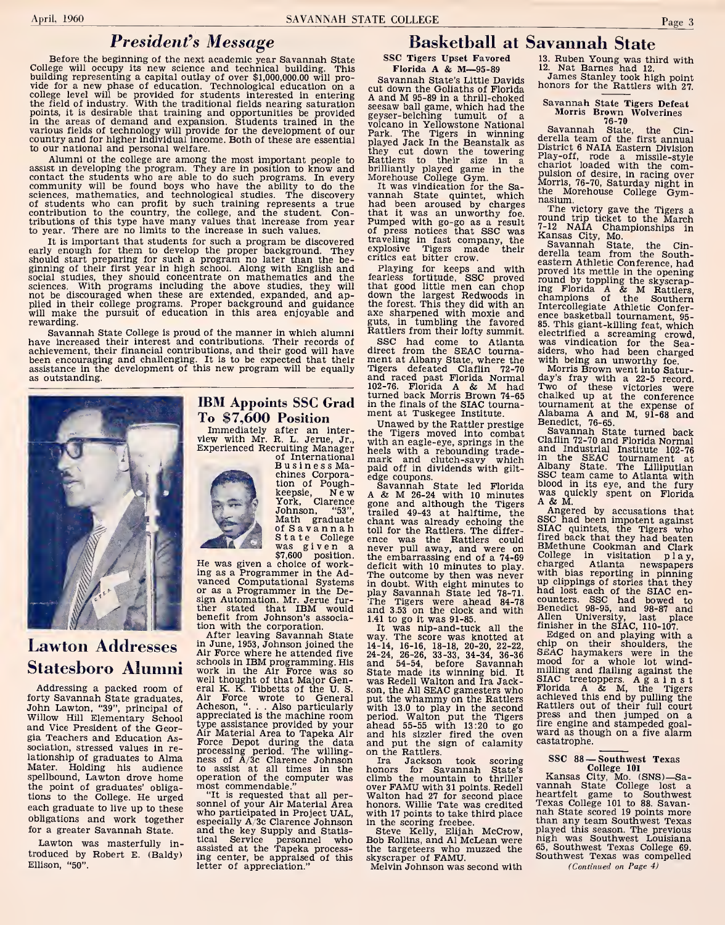## President's Message

Before the beginning of the next academic year Savannah State<br>College will occupy its new science and technical building. This<br>building representing a capital outlay of over \$1,000,000.00 will pro-<br>vide for a new phase of to our national and personal welfare.

Alumni of the college are among the most important people to assist in developing the program. They are in position to know and britan centrate the students who are able to do such programs. In every Mccommunity will be found boys who have the ability to do the locatences, mathemati to year. There are no limits to the increase in such values.

It is important that students for such a program be discovered traveling in fast company<br>y enough for them to develop the proper background. They explosive Tigers made<br>uld start preparing for such a program no later than early enough for them to develop the proper background. They exploud start preparing for such a program no later than the be-crigining of their first year in high school. Along with English and social studies, they should sciences. With programs including the above studies, they will that<br>not be discouraged when these are extended, expanded, and ap-<br>plied in their college programs. Proper background and guidance the<br>will make the pursuit of rewarding.

Savannah State College is proud of the manner in which alumni have increased their interest and contributions. Their records of achievement, their financial contributions, and their good will have been encouraging and challenging. It is to be expected that their  $\mod$  assistance in the development of this new program will be equally  $\red$  T as outstanding.



## Lawton Addresses Statesboro Alumni

Addressing a packed room of end<br>forty Savannah State graduates, A John Lawton, "39", principal of Acheson, "... Also particularly<br>John Lawton, "39", principal of appreciated is the machine room Willow Hill Elementary School appreciated is the machine room<br>and Vice President of the Geor-buye assistance provided by your<br>gia Taschers and Education 4. gia Teachers and Education Association, stressed values in re lationship of graduates to Alma Mater. Holding his audience spellbound, Lawton drove home the point of graduates' obligations to the College. He urged each graduate to live up to these obligations and work together for a greater Savannah State.

Lawton was masterfully in troduced by Robert E. (Baldy) Ellison, "50".

## To \$7,600 Position

Immediately after an inter-<br>
view with Mr. R. L. Jerue, Jr., with<br>
Experienced Recruiting Manager hee

chines Corpora-<br>tion of Poughof International<br>
BusinessMa-<br>
chines Corpora-edge<br>
tion of Pough-Sar<br>
keepsie, New A&<br>
York, Clarence gone Johnson, "53", Trail<br>
Math graduate channel<br>
of Savannah toll i<br>
was given a newer-<br>
was given a choice of work-<br>
He was given a choice of work-<br>
ing as a Programmer in the Ad-<br>
The

ing as a Programmer in the Advanced Computational Systems He was given a choice of work-<br>ing as a Programmer in the Ad-<br>vanced Computational Systems<br>or as a Programmer in the De-<br>sign Automation. Mr. Jerue fursign Automation. Mr. Jerue fur- †f<br>ther stated that IBM would an<br>benefit from Johnson's associa- 1.4 tion with the corporation.

After leaving Savannah State in June, 1953, Johnson joined the Air Force where he attended five 24<br>schools in IBM programming. His work in the Air Force was so well thought of that Major Gen-eral K. K. Tibbetts of the U. S. Air Force wrote to General Air Force wrote to General pu<br>Acheson, "... . Also particularly wij<br>appreciated is the machine room pe:<br>type assistance provided by your ah<br>Air Material Area to Tapeka Air an Air Material Area to Tapeka Air Force Depot during the data processing period. The willing- ness of A/3c Clarence Johnson to assist at all times in the ho<br>operation of the computer was cli most commendable."

and the key Supply and Statistical Service personnel who assisted at the Tapeka processing center, be appraised of this letter of appreciation."

## Basketball at Savannah State

SSC Tigers Upset Favored<br>Florida A & M-95-89

Savannah State's Little Davids<br>cut down the Goliaths of Florida<br>monors for the Rattlers with 27. cut down the Goliaths of Florida<br>
A and M 95-89 in a thrill-choked<br>
geyser-belching tumult of a<br>
geyser-belching tumult of a<br>
volcano in Yellowstone National<br>
Park. The Tigers in winning played Jack In the Beanstalk as<br>they cut down the towering Pi<br>Rattlers to their size in a ch<br>brilliantly played game in the<br>Morehouse College Gym.

It was vindication for the Sa- vannah State quintet, which had been aroused by charges that it was an unworthy foe.<br>Pumped with go-go as a result  $7-1$ <br>of press notices that SSC was Ke<br>traveling in fast company, the explosive Tigers made their

crutics eat bitter crow.<br>
Playing for keeps and with predicts fortitude, SSC proved pro<br>
fearless fortitude, SSC proved pro<br>
that good little men can chop implement<br>
the forest. This they did with an Implement<br>
axe sharpen

IBM Appoints SSC Grad in the finals of the SIAC tour<br>ment at Tuskegee Institute. SSC had come to Atlanta direct from the SEAC tourna- ment at Albany State, where the Tigers, defeated Claflin 72-70<br>and raced past Florida Normal da<br>102-76. Florida A & M had Tw turned back Morris Brown 74-65 in the finals of the SIAC tourna-

of International mark and clutch-savy which<br>Business Ma-paid off in dividends with gilt-<br>chines Corpora-edge coupons.<br>tion of Pough-Savannah State led Florida Unawed by the Rattler prestige the Tigers moved into combat<br>with an eagle-eye, springs in the<br>heels with a rebounding trade-<br>mark and clutch-savy which in

paid off in dividends with gilt-<br>edge coupons.<br>Savannah State led Florida ble<br>A & M 26-24 with 10 minutes with<br>gone and although the Tigers trailed 49-43 at halftime, the chant was already echoing the toll for the Rattlers. The differ-<br>ence was the Rattlers could fir<br>never pull away, and were on BM<br>the embarrassing end of a 74-69 deficit with 10 minutes to play.<br>The outcome by then was never was in doubt. With eight minutes to play Savannah State led 78-71. The Tigers were ahead 84-78 co<br>The Tigers were ahead 84-78 co<br>and 3.53 on the clock and with  $\frac{21}{21}$ 1.41 to go it was 91-85.

It was nip-and-tuck all the  $^{111}$  way. The score was knotted at  $\lambda$ 14-14, 16-16, 18-18, 20-20, 22-22, 24-24, 26-26, 33-33, 34-34, 36-36 and 54-54, before Savannah State made its winning bid. It  $\frac{m}{2}$  was Redell Walton and Ira Jackson, the All SEAC gamesters who Florida A & M, the Tigers put the whammy on the Rattlers achieved this end by pulling the put the whammy on the Rattlers<br>with 13.0 to play in the second<br>period. Walton put the Tigers<br>ahead 55-55 with 13:20 to go and his sizzler fired the oven and his sizzler fired the oven and put the sign of calamity on the Rattlers.

"It is requested that all per-<br>
"Walton had 27 for second place<br>
sonnel of your Air Material Area honors. Willie Tate was credited<br>
who participated in Project UAL, with IT points to take third place<br>
especially A/3c Clare Ira Jackson took scoring<br>honors for Savannah State's<br>climb the mountain to thriller over FAMU with 31 points. Redell Valton had 27 for second place with 17 points to take third place hah State scored 19 points more

in the scoring freebee.<br>Steve Kelly, Elijah McCrow, pla<br>Bob Rollins, and Al McLean were the targeteers who muzzed the skyscraper of FAMU.

Melvin Johnson was second with

13. Ruben Young was third with 12. Nat Barnes had 12.<br>12. Nat Barnes had 12.<br>James Stanley took high point

Savannah State Tigers Defeat Morris Brown Wolverines 76-70 Savannah State, the Cin-derella team of the first annual District <sup>6</sup> NAIA Eastern Division Play-off, rode <sup>a</sup> missile-style chariot loaded with the com-pulsion of desire, in racing over Morris, 76-70, Saturday night in the Morehouse College Gym-

nasium.<br>The victory gave the Tigers a<br>round trip ticket to the March

7-12 NAIA Championships in Kansas City, Mo. Savannah State, the Cin-derella team from the South-eastern Athletic Conference, had proved its mettle in the opening round by toppling the skyscraping Florida <sup>A</sup> & <sup>M</sup> Rattlers, champions of the Southern Intercollegiate Athletic Confer-ence basketball tournament, 95- 85. This giant-killing feat, which electrified <sup>a</sup> screaming crowd, was vindication for the Sea-siders, who had been charged

Morris Brown went into Saturday's fray with <sup>a</sup> 22-5 record. Two of these victories were chalked up at the conference tournament at the expense of Alabama <sup>A</sup> and M, 91-68 and

Benedict, 76-65.<br>Savannah State turned back Savannah State turned back<br>Claflin 72-70 and Florida Normal and Industrial Institute 102-76 in the SEAC tournament at Albany State. The Lilliputian SSC team came to Atlanta with **SECT team came to Atlanta with blood in its eye, and the fury was quickly spent on Florida A & M.** 

Angered by accusations that SSC had been impotent against SIAC quintets, the Tigers who fired back that they had beaten fired back that they had beaten BMethune Cookman and Clark College in visitation play, charged Atlanta newspapers with bias reporting in pinning up clippings of stories that they had lost each of the SIAC encounters. SSC had bowed to Benedict 98-95, and 98-87 and Allen University, last place

finisher in the SIAC, 110-107.<br>Edged on and playing with a<br>chip on their shoulders, the<br>SEAC haymakers were in the<br>mood for a whole lot windmilling and flailing against the<br>SIAC treetoppers. Against Florida <sup>A</sup> & M, the Tigers achieved this end by pulling the Rattlers out of their full court<br>press and then jumped on a<br>fire engine and stampeded goal-<br>ward as though on a five alarm castatrophe.

## SSC 88-Southwest Texas<br>College 101

College <sup>101</sup> Kansas City, Mo. (SNS)—Sa- vannah State College lost <sup>a</sup> heartfelt game to Southwest Texas College <sup>101</sup> to 88. Savan- nah State scored <sup>19</sup> points more than any team Southwest Texas played this season. The previous nigh was Southwest Louisiana 65, Southwest Texas College 69. Southwest Texas was compelled (Continued on Page 4)